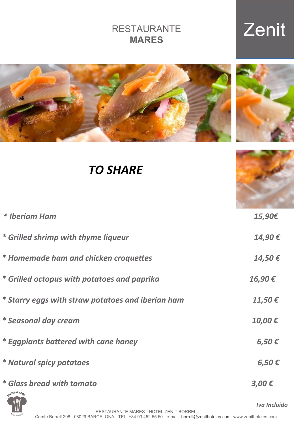### RESTAURANTE **MARES**

# Zenit



### *TO SHARE*

| * Iberiam Ham                                     | 15,90€           |
|---------------------------------------------------|------------------|
| * Grilled shrimp with thyme liqueur               | 14,90€           |
| * Homemade ham and chicken croquettes             | 14,50€           |
| * Grilled octopus with potatoes and paprika       | 16,90€           |
| * Starry eggs with straw potatoes and iberian ham | 11,50 $\epsilon$ |
| * Seasonal day cream                              | 10,00€           |
| * Eggplants battered with cane honey              | $6,50 \in$       |
| * Natural spicy potatoes                          | $6,50 \in$       |
| * Glass bread with tomato<br>SINGULAR FOOD        | $3,00 \in$       |



*IVA Iva Incluido <i>Iva Incluido*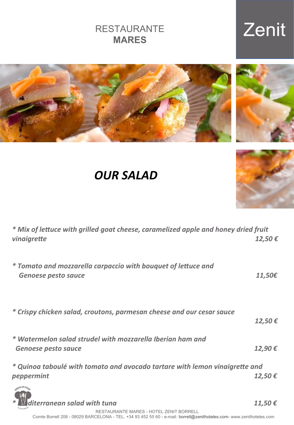RESTAURANTE MARES - HOTEL ZENIT BORRELL Comte Borrell 208 - 08029 BARCELONA - TEL. +34 93 452 55 60 - e-mail: borrell@zenithoteles.com- www.zenithoteles.com

#### RESTAURANTE **MARES**

### *OUR SALAD*

| * Mix of lettuce with grilled goat cheese, caramelized apple and honey dried fruit<br>vinaigrette | 12,50 $\epsilon$ |
|---------------------------------------------------------------------------------------------------|------------------|
| * Tomato and mozzarella carpaccio with bouquet of lettuce and<br><b>Genoese pesto sauce</b>       | 11,50€           |
| * Crispy chicken salad, croutons, parmesan cheese and our cesar sauce                             | $12,50 \in$      |
| * Watermelon salad strudel with mozzarella Iberian ham and<br><b>Genoese pesto sauce</b>          | 12,90€           |
| * Quinoa taboulé with tomato and avocado tartare with lemon vinaigrette and<br>peppermint         | $12,50 \in$      |
| anean salad with tuna                                                                             | 11,50 €          |







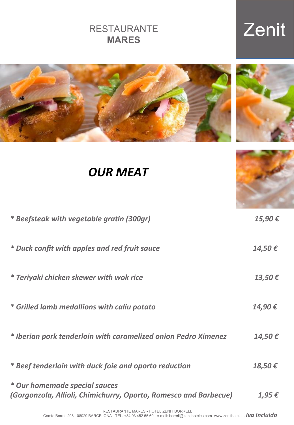*OUR MEAT*

*\* Beefsteak with vegetable gratin (300gr) 15,90 €* 

| * Duck confit with apples and red fruit sauce                                                     | 14,50 €          |
|---------------------------------------------------------------------------------------------------|------------------|
| * Teriyaki chicken skewer with wok rice                                                           | 13,50 $\epsilon$ |
| * Grilled lamb medallions with caliu potato                                                       | 14,90€           |
| * Iberian pork tenderloin with caramelized onion Pedro Ximenez                                    | 14,50€           |
| * Beef tenderloin with duck foie and oporto reduction                                             | 18,50€           |
| * Our homemade special sauces<br>(Gorgonzola, Allioli, Chimichurry, Oporto, Romesco and Barbecue) | $1,95 \in$       |

 *Iva Incluido*  Comte Borrell 208 - 08029 BARCELONA - TEL. +34 93 452 55 60 - e-mail: borrell@zenithoteles.com- www.zenithoteles.comRESTAURANTE MARES - HOTEL ZENIT BORRELL

#### RESTAURANTE **MARES**

# Zenit





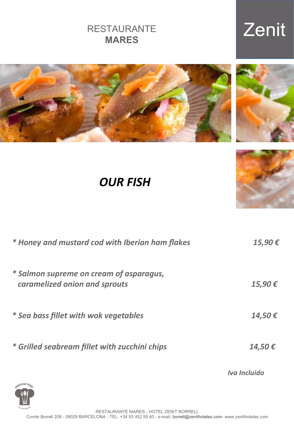RESTAURANTE MARES - HOTEL ZENIT BORRELL Comte Borrell 208 - 08029 BARCELONA - TEL. +34 93 452 55 60 - e-mail: borrell@zenithoteles.com- www.zenithoteles.com

| <b>RESTAURANTE</b> |  |
|--------------------|--|
| <b>MARES</b>       |  |

# Zenit



*OUR FISH*

| * Honey and mustard cod with Iberian ham flakes                          | 15,90€       |
|--------------------------------------------------------------------------|--------------|
| * Salmon supreme on cream of asparagus,<br>caramelized onion and sprouts | 15,90€       |
| * Sea bass fillet with wok vegetables                                    | 14,50€       |
| * Grilled seabream fillet with zucchini chips                            | 14,50€       |
| INGULAR FOOR                                                             | Iva Incluido |



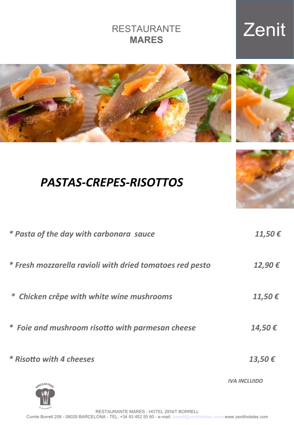| * Pasta of the day with carbonara sauce                  | 11,50 $\epsilon$    |
|----------------------------------------------------------|---------------------|
| * Fresh mozzarella ravioli with dried tomatoes red pesto | 12,90€              |
| * Chicken crêpe with white wine mushrooms                | 11,50 $\epsilon$    |
| * Foie and mushroom risotto with parmesan cheese         | 14,50€              |
| * Risotto with 4 cheeses                                 | 13,50€              |
|                                                          | <b>IVA INCLUIDO</b> |



### **MARES**

# RESTAURANTE





*PASTAS-CREPES-RISOTTOS*

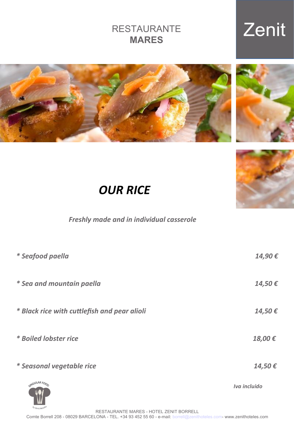by Zenit Hotele RESTAURANTE MARES - HOTEL ZENIT BORRELL Comte Borrell 208 - 08029 BARCELONA - TEL. +34 93 452 55 60 - e-mail: borrell@zenithoteles.com- www.zenithoteles.com

#### RESTAURANTE **MARES**

### Zenit





 *Freshly made and in individual casserole* 

| * Seafood paella                             | 14,90€       |
|----------------------------------------------|--------------|
| * Sea and mountain paella                    | 14,50€       |
| * Black rice with cuttlefish and pear alioli | 14,50€       |
| * Boiled lobster rice                        | 18,00€       |
| * Seasonal vegetable rice                    | 14,50€       |
| SINGULAR FOOD                                | Iva incluido |



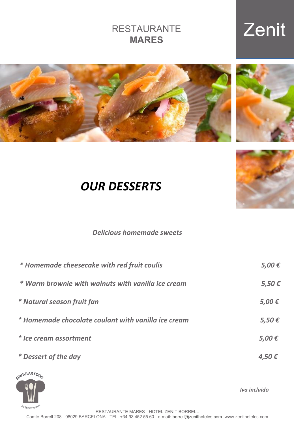#### RESTAURANTE **MARES**

# Zenit







### *OUR DESSERTS*

#### *Delicious homemade sweets*

| * Homemade cheesecake with red fruit coulis         | $5,00 \in$ |
|-----------------------------------------------------|------------|
| * Warm brownie with walnuts with vanilla ice cream  | $5,50 \in$ |
| * Natural season fruit fan                          | $5,00 \in$ |
| * Homemade chocolate coulant with vanilla ice cream | $5,50 \in$ |
| * Ice cream assortment                              | $5,00 \in$ |
| * Dessert of the day                                | 4,50€      |
|                                                     |            |



*Iva incluido*